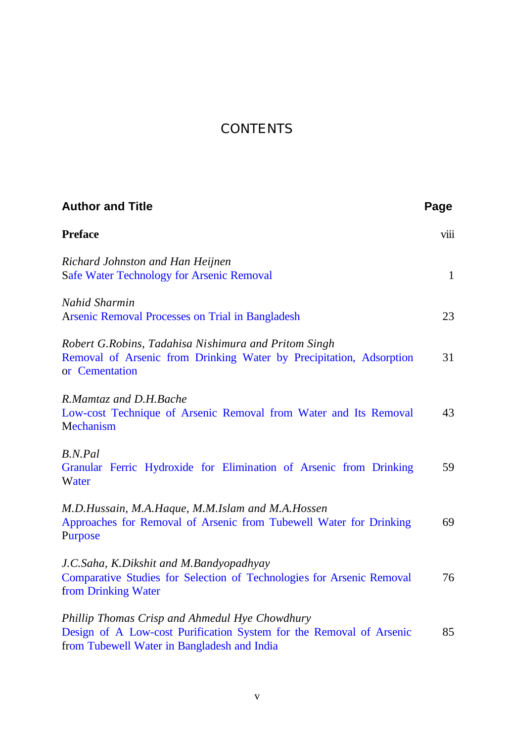## **CONTENTS**

| <b>Author and Title</b>                                                                                                                                              | Page         |
|----------------------------------------------------------------------------------------------------------------------------------------------------------------------|--------------|
| <b>Preface</b>                                                                                                                                                       | viii         |
| Richard Johnston and Han Heijnen<br>Safe Water Technology for Arsenic Removal                                                                                        | $\mathbf{1}$ |
| Nahid Sharmin<br><b>Arsenic Removal Processes on Trial in Bangladesh</b>                                                                                             | 23           |
| Robert G.Robins, Tadahisa Nishimura and Pritom Singh<br>Removal of Arsenic from Drinking Water by Precipitation, Adsorption<br>or Cementation                        | 31           |
| R.Mamtaz and D.H.Bache<br>Low-cost Technique of Arsenic Removal from Water and Its Removal<br>Mechanism                                                              | 43           |
| B.N.Pal<br>Granular Ferric Hydroxide for Elimination of Arsenic from Drinking<br>Water                                                                               | 59           |
| M.D.Hussain, M.A.Haque, M.M.Islam and M.A.Hossen<br>Approaches for Removal of Arsenic from Tubewell Water for Drinking<br>Purpose                                    | 69           |
| J.C.Saha, K.Dikshit and M.Bandyopadhyay<br>Comparative Studies for Selection of Technologies for Arsenic Removal<br>from Drinking Water                              | 76           |
| Phillip Thomas Crisp and Ahmedul Hye Chowdhury<br>Design of A Low-cost Purification System for the Removal of Arsenic<br>from Tubewell Water in Bangladesh and India | 85           |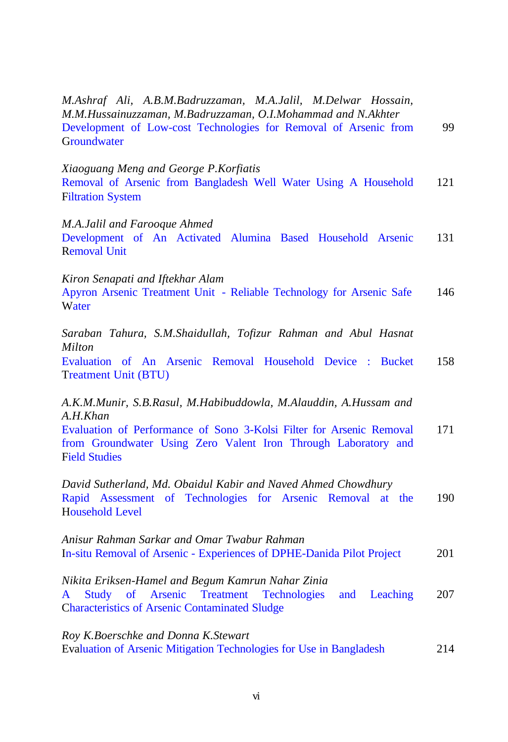| M.Ashraf Ali, A.B.M.Badruzzaman, M.A.Jalil, M.Delwar Hossain,<br>M.M.Hussainuzzaman, M.Badruzzaman, O.I.Mohammad and N.Akhter<br>Development of Low-cost Technologies for Removal of Arsenic from<br>Groundwater                               | 99  |
|------------------------------------------------------------------------------------------------------------------------------------------------------------------------------------------------------------------------------------------------|-----|
| Xiaoguang Meng and George P.Korfiatis<br>Removal of Arsenic from Bangladesh Well Water Using A Household<br><b>Filtration System</b>                                                                                                           | 121 |
| M.A.Jalil and Farooque Ahmed<br>Development of An Activated Alumina Based Household Arsenic<br><b>Removal Unit</b>                                                                                                                             | 131 |
| Kiron Senapati and Iftekhar Alam<br>Apyron Arsenic Treatment Unit - Reliable Technology for Arsenic Safe<br>Water                                                                                                                              | 146 |
| Saraban Tahura, S.M.Shaidullah, Tofizur Rahman and Abul Hasnat<br>Milton<br>Evaluation of An Arsenic Removal Household Device : Bucket<br><b>Treatment Unit (BTU)</b>                                                                          | 158 |
| A.K.M.Munir, S.B.Rasul, M.Habibuddowla, M.Alauddin, A.Hussam and<br>A.H.Khan<br>Evaluation of Performance of Sono 3-Kolsi Filter for Arsenic Removal<br>from Groundwater Using Zero Valent Iron Through Laboratory and<br><b>Field Studies</b> | 171 |
| David Sutherland, Md. Obaidul Kabir and Naved Ahmed Chowdhury<br>Rapid Assessment of Technologies for Arsenic Removal at the<br><b>Household Level</b>                                                                                         | 190 |
| Anisur Rahman Sarkar and Omar Twabur Rahman<br>In-situ Removal of Arsenic - Experiences of DPHE-Danida Pilot Project                                                                                                                           | 201 |
| Nikita Eriksen-Hamel and Begum Kamrun Nahar Zinia<br>of<br><b>Arsenic</b> Treatment<br>Study<br><b>Technologies</b><br>Leaching<br>A<br>and<br><b>Characteristics of Arsenic Contaminated Sludge</b>                                           | 207 |
| Roy K.Boerschke and Donna K.Stewart<br>Evaluation of Arsenic Mitigation Technologies for Use in Bangladesh                                                                                                                                     | 214 |